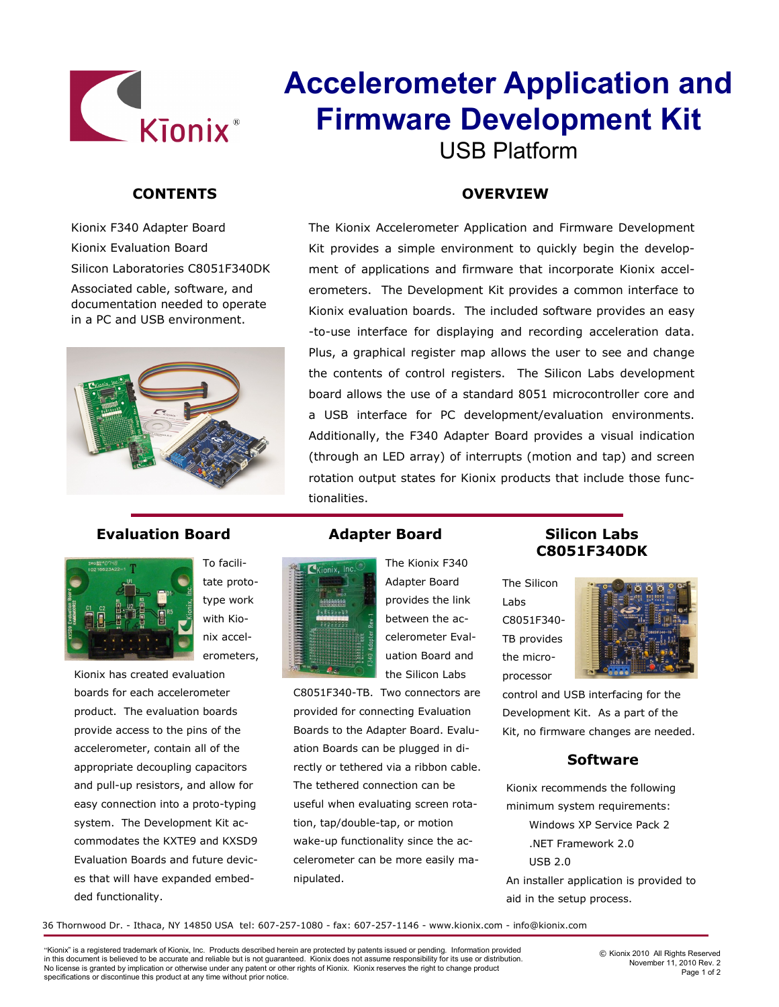

# **CONTENTS**

Kionix F340 Adapter Board Kionix Evaluation Board Silicon Laboratories C8051F340DK

Associated cable, software, and documentation needed to operate in a PC and USB environment.



## **Evaluation Board Adapter Board**



tate prototype work with Kionix accelerometers,

To facili-

Kionix has created evaluation boards for each accelerometer product. The evaluation boards provide access to the pins of the accelerometer, contain all of the appropriate decoupling capacitors and pull-up resistors, and allow for easy connection into a proto-typing system. The Development Kit accommodates the KXTE9 and KXSD9 Evaluation Boards and future devices that will have expanded embedded functionality.

# **Accelerometer Application and Firmware Development Kit** USB Platform

### **OVERVIEW**

The Kionix Accelerometer Application and Firmware Development Kit provides a simple environment to quickly begin the development of applications and firmware that incorporate Kionix accelerometers. The Development Kit provides a common interface to Kionix evaluation boards. The included software provides an easy -to-use interface for displaying and recording acceleration data. Plus, a graphical register map allows the user to see and change the contents of control registers. The Silicon Labs development board allows the use of a standard 8051 microcontroller core and a USB interface for PC development/evaluation environments. Additionally, the F340 Adapter Board provides a visual indication (through an LED array) of interrupts (motion and tap) and screen rotation output states for Kionix products that include those functionalities.



The Kionix F340 Adapter Board provides the link between the accelerometer Evaluation Board and the Silicon Labs

C8051F340-TB. Two connectors are provided for connecting Evaluation Boards to the Adapter Board. Evaluation Boards can be plugged in directly or tethered via a ribbon cable. The tethered connection can be useful when evaluating screen rotation, tap/double-tap, or motion wake-up functionality since the accelerometer can be more easily manipulated.

**Silicon Labs C8051F340DK**

The Silicon Labs C8051F340- TB provides the microprocessor



control and USB interfacing for the Development Kit. As a part of the Kit, no firmware changes are needed.

#### **Software**

Kionix recommends the following minimum system requirements: Windows XP Service Pack 2 .NET Framework 2.0 USB 2.0 An installer application is provided to aid in the setup process.

36 Thornwood Dr. - Ithaca, NY 14850 USA tel: 607-257-1080 - fax: 607-257-1146 - www.kionix.com - info@kionix.com

"Kionix" is a registered trademark of Kionix, Inc. Products described herein are protected by patents issued or pending. Information provided in this document is believed to be accurate and reliable but is not guaranteed. Kionix does not assume responsibility for its use or distribution. No license is granted by implication or otherwise under any patent or other rights of Kionix. Kionix reserves the right to change product specifications or discontinue this product at any time without prior notice.